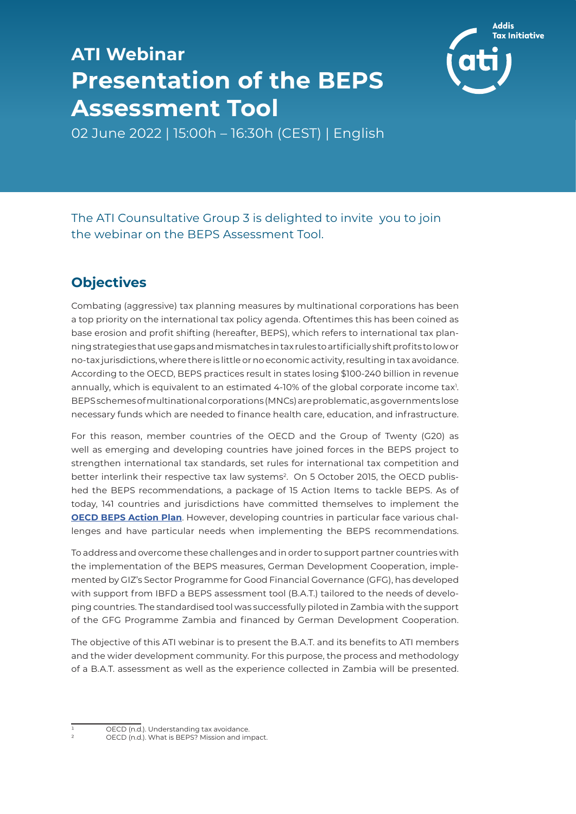## **ATI Webinar Presentation of the BEPS Assessment Tool**



02 June 2022 | 15:00h – 16:30h (CEST) | English

## The ATI Counsultative Group 3 is delighted to invite you to join the webinar on the BEPS Assessment Tool.

## **Objectives**

Combating (aggressive) tax planning measures by multinational corporations has been a top priority on the international tax policy agenda. Oftentimes this has been coined as base erosion and profit shifting (hereafter, BEPS), which refers to international tax planning strategies that use gaps and mismatches in tax rules to artificially shift profits to low or no-tax jurisdictions, where there is little or no economic activity, resulting in tax avoidance. According to the OECD, BEPS practices result in states losing \$100-240 billion in revenue annually, which is equivalent to an estimated 4-10% of the global corporate income tax<sup>1</sup>. BEPS schemes of multinational corporations (MNCs) are problematic, as governments lose necessary funds which are needed to finance health care, education, and infrastructure.

For this reason, member countries of the OECD and the Group of Twenty (G20) as well as emerging and developing countries have joined forces in the BEPS project to strengthen international tax standards, set rules for international tax competition and better interlink their respective tax law systems<sup>2</sup>. On 5 October 2015, the OECD published the BEPS recommendations, a package of 15 Action Items to tackle BEPS. As of today, 141 countries and jurisdictions have committed themselves to implement the **OECD BEPS Action Plan**. However, developing countries in particular face various challenges and have particular needs when implementing the BEPS recommendations.

To address and overcome these challenges and in order to support partner countries with the implementation of the BEPS measures, German Development Cooperation, implemented by GIZ's Sector Programme for Good Financial Governance (GFG), has developed with support from IBFD a BEPS assessment tool (B.A.T.) tailored to the needs of developing countries. The standardised tool was successfully piloted in Zambia with the support of the GFG Programme Zambia and financed by German Development Cooperation.

The objective of this ATI webinar is to present the B.A.T. and its benefits to ATI members and the wider development community. For this purpose, the process and methodology of a B.A.T. assessment as well as the experience collected in Zambia will be presented.

OECD (n.d.). Understanding tax avoidance.

OECD (n.d.). What is BEPS? Mission and impact.